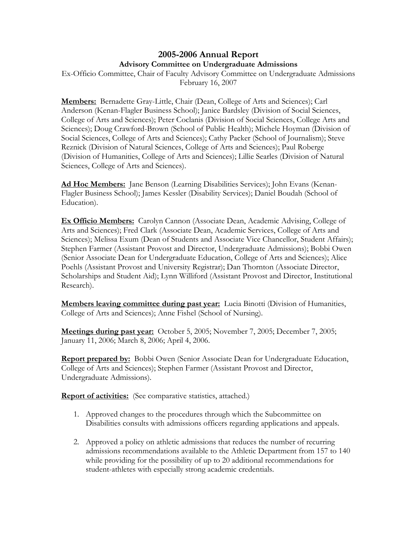## **2005-2006 Annual Report Advisory Committee on Undergraduate Admissions**

Ex-Officio Committee, Chair of Faculty Advisory Committee on Undergraduate Admissions February 16, 2007

**Members:** Bernadette Gray-Little, Chair (Dean, College of Arts and Sciences); Carl Anderson (Kenan-Flagler Business School); Janice Bardsley (Division of Social Sciences, College of Arts and Sciences); Peter Coclanis (Division of Social Sciences, College Arts and Sciences); Doug Crawford-Brown (School of Public Health); Michele Hoyman (Division of Social Sciences, College of Arts and Sciences); Cathy Packer (School of Journalism); Steve Reznick (Division of Natural Sciences, College of Arts and Sciences); Paul Roberge (Division of Humanities, College of Arts and Sciences); Lillie Searles (Division of Natural Sciences, College of Arts and Sciences).

**Ad Hoc Members:** Jane Benson (Learning Disabilities Services); John Evans (Kenan-Flagler Business School); James Kessler (Disability Services); Daniel Boudah (School of Education).

**Ex Officio Members:** Carolyn Cannon (Associate Dean, Academic Advising, College of Arts and Sciences); Fred Clark (Associate Dean, Academic Services, College of Arts and Sciences); Melissa Exum (Dean of Students and Associate Vice Chancellor, Student Affairs); Stephen Farmer (Assistant Provost and Director, Undergraduate Admissions); Bobbi Owen (Senior Associate Dean for Undergraduate Education, College of Arts and Sciences); Alice Poehls (Assistant Provost and University Registrar); Dan Thornton (Associate Director, Scholarships and Student Aid); Lynn Williford (Assistant Provost and Director, Institutional Research).

**Members leaving committee during past year:** Lucia Binotti (Division of Humanities, College of Arts and Sciences); Anne Fishel (School of Nursing).

**Meetings during past year:** October 5, 2005; November 7, 2005; December 7, 2005; January 11, 2006; March 8, 2006; April 4, 2006.

**Report prepared by:** Bobbi Owen (Senior Associate Dean for Undergraduate Education, College of Arts and Sciences); Stephen Farmer (Assistant Provost and Director, Undergraduate Admissions).

**Report of activities:** (See comparative statistics, attached.)

- 1. Approved changes to the procedures through which the Subcommittee on Disabilities consults with admissions officers regarding applications and appeals.
- 2. Approved a policy on athletic admissions that reduces the number of recurring admissions recommendations available to the Athletic Department from 157 to 140 while providing for the possibility of up to 20 additional recommendations for student-athletes with especially strong academic credentials.